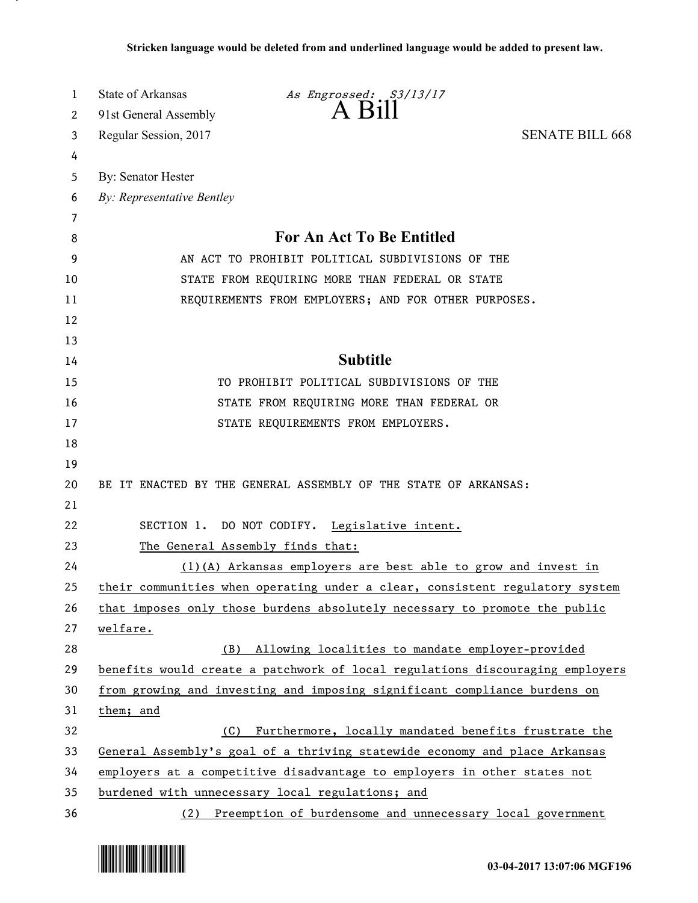| 1  | State of Arkansas<br>As Engrossed: S3/13/17                                   |
|----|-------------------------------------------------------------------------------|
| 2  | $A$ $B$ <sub>1</sub> $\parallel$<br>91st General Assembly                     |
| 3  | Regular Session, 2017<br><b>SENATE BILL 668</b>                               |
| 4  |                                                                               |
| 5  | By: Senator Hester                                                            |
| 6  | By: Representative Bentley                                                    |
| 7  |                                                                               |
| 8  | For An Act To Be Entitled                                                     |
| 9  | AN ACT TO PROHIBIT POLITICAL SUBDIVISIONS OF THE                              |
| 10 | STATE FROM REQUIRING MORE THAN FEDERAL OR STATE                               |
| 11 | REQUIREMENTS FROM EMPLOYERS; AND FOR OTHER PURPOSES.                          |
| 12 |                                                                               |
| 13 |                                                                               |
| 14 | <b>Subtitle</b>                                                               |
| 15 | TO PROHIBIT POLITICAL SUBDIVISIONS OF THE                                     |
| 16 | STATE FROM REQUIRING MORE THAN FEDERAL OR                                     |
| 17 | STATE REQUIREMENTS FROM EMPLOYERS.                                            |
| 18 |                                                                               |
| 19 |                                                                               |
| 20 | BE IT ENACTED BY THE GENERAL ASSEMBLY OF THE STATE OF ARKANSAS:               |
| 21 |                                                                               |
| 22 | SECTION 1. DO NOT CODIFY. Legislative intent.                                 |
| 23 | The General Assembly finds that:                                              |
| 24 | (1)(A) Arkansas employers are best able to grow and invest in                 |
| 25 | their communities when operating under a clear, consistent regulatory system  |
| 26 | that imposes only those burdens absolutely necessary to promote the public    |
| 27 | welfare.                                                                      |
| 28 | Allowing localities to mandate employer-provided<br>(B)                       |
| 29 | benefits would create a patchwork of local regulations discouraging employers |
| 30 | from growing and investing and imposing significant compliance burdens on     |
| 31 | them; and                                                                     |
| 32 | Furthermore, locally mandated benefits frustrate the<br>(C)                   |
| 33 | General Assembly's goal of a thriving statewide economy and place Arkansas    |
| 34 | employers at a competitive disadvantage to employers in other states not      |
| 35 | burdened with unnecessary local regulations; and                              |
| 36 | (2) Preemption of burdensome and unnecessary local government                 |



.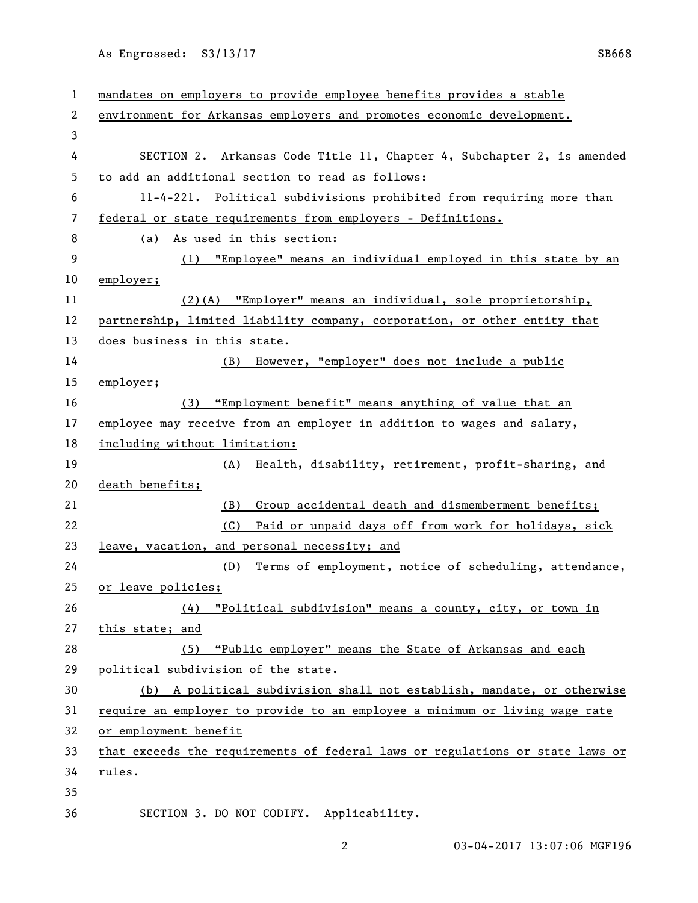As Engrossed: S3/13/17 SB668

| 1  | mandates on employers to provide employee benefits provides a stable          |
|----|-------------------------------------------------------------------------------|
| 2  | environment for Arkansas employers and promotes economic development.         |
| 3  |                                                                               |
| 4  | SECTION 2. Arkansas Code Title 11, Chapter 4, Subchapter 2, is amended        |
| 5  | to add an additional section to read as follows:                              |
| 6  | 11-4-221. Political subdivisions prohibited from requiring more than          |
| 7  | federal or state requirements from employers - Definitions.                   |
| 8  | (a) As used in this section:                                                  |
| 9  | (1) "Employee" means an individual employed in this state by an               |
| 10 | employer;                                                                     |
| 11 | (2)(A) "Employer" means an individual, sole proprietorship,                   |
| 12 | partnership, limited liability company, corporation, or other entity that     |
| 13 | does business in this state.                                                  |
| 14 | However, "employer" does not include a public<br>(B)                          |
| 15 | employer;                                                                     |
| 16 | "Employment benefit" means anything of value that an<br>(3)                   |
| 17 | employee may receive from an employer in addition to wages and salary,        |
| 18 | including without limitation:                                                 |
| 19 | Health, disability, retirement, profit-sharing, and<br>(A)                    |
| 20 | death benefits;                                                               |
| 21 | Group accidental death and dismemberment benefits;<br>(B)                     |
| 22 | Paid or unpaid days off from work for holidays, sick<br>(C)                   |
| 23 | leave, vacation, and personal necessity; and                                  |
| 24 | Terms of employment, notice of scheduling, attendance,<br>(D)                 |
| 25 | or leave policies;                                                            |
| 26 | "Political subdivision" means a county, city, or town in<br>(4)               |
| 27 | this state; and                                                               |
| 28 | "Public employer" means the State of Arkansas and each<br>(5)                 |
| 29 | political subdivision of the state.                                           |
| 30 | (b) A political subdivision shall not establish, mandate, or otherwise        |
| 31 | require an employer to provide to an employee a minimum or living wage rate   |
| 32 | or employment benefit                                                         |
| 33 | that exceeds the requirements of federal laws or regulations or state laws or |
| 34 | rules.                                                                        |
| 35 |                                                                               |
| 36 | SECTION 3. DO NOT CODIFY. Applicability.                                      |

2 03-04-2017 13:07:06 MGF196